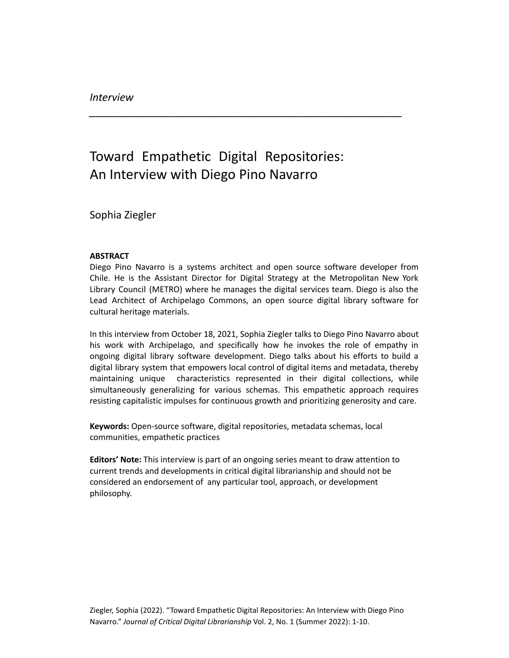## Toward Empathetic Digital Repositories: An Interview with Diego Pino Navarro

*\_\_\_\_\_\_\_\_\_\_\_\_\_\_\_\_\_\_\_\_\_\_\_\_\_\_\_\_\_\_\_\_\_\_\_\_\_\_\_\_\_\_\_\_\_\_\_\_\_\_\_\_\_\_*

Sophia Ziegler

## **ABSTRACT**

Diego Pino Navarro is a systems architect and open source software developer from Chile. He is the Assistant Director for Digital Strategy at the Metropolitan New York Library Council (METRO) where he manages the digital services team. Diego is also the Lead Architect of Archipelago Commons, an open source digital library software for cultural heritage materials.

In this interview from October 18, 2021, Sophia Ziegler talks to Diego Pino Navarro about his work with Archipelago, and specifically how he invokes the role of empathy in ongoing digital library software development. Diego talks about his efforts to build a digital library system that empowers local control of digital items and metadata, thereby maintaining unique characteristics represented in their digital collections, while simultaneously generalizing for various schemas. This empathetic approach requires resisting capitalistic impulses for continuous growth and prioritizing generosity and care.

**Keywords:** Open-source software, digital repositories, metadata schemas, local communities, empathetic practices

**Editors' Note:** This interview is part of an ongoing series meant to draw attention to current trends and developments in critical digital librarianship and should not be considered an endorsement of any particular tool, approach, or development philosophy.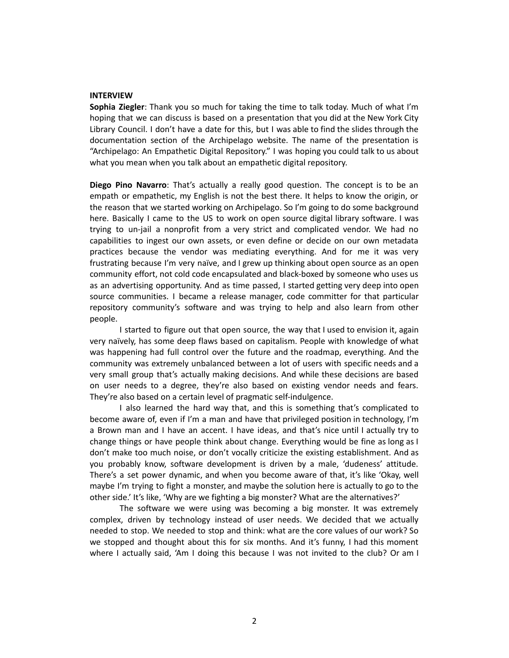## **INTERVIEW**

**Sophia Ziegler**: Thank you so much for taking the time to talk today. Much of what I'm hoping that we can discuss is based on a presentation that you did at the New York City Library Council. I don't have a date for this, but I was able to find the slides through the documentation section of the Archipelago website. The name of the presentation is "Archipelago: An Empathetic Digital Repository." I was hoping you could talk to us about what you mean when you talk about an empathetic digital repository.

**Diego Pino Navarro**: That's actually a really good question. The concept is to be an empath or empathetic, my English is not the best there. It helps to know the origin, or the reason that we started working on Archipelago. So I'm going to do some background here. Basically I came to the US to work on open source digital library software. I was trying to un-jail a nonprofit from a very strict and complicated vendor. We had no capabilities to ingest our own assets, or even define or decide on our own metadata practices because the vendor was mediating everything. And for me it was very frustrating because I'm very naïve, and I grew up thinking about open source as an open community effort, not cold code encapsulated and black-boxed by someone who uses us as an advertising opportunity. And as time passed, I started getting very deep into open source communities. I became a release manager, code committer for that particular repository community's software and was trying to help and also learn from other people.

I started to figure out that open source, the way that I used to envision it, again very naïvely, has some deep flaws based on capitalism. People with knowledge of what was happening had full control over the future and the roadmap, everything. And the community was extremely unbalanced between a lot of users with specific needs and a very small group that's actually making decisions. And while these decisions are based on user needs to a degree, they're also based on existing vendor needs and fears. They're also based on a certain level of pragmatic self-indulgence.

I also learned the hard way that, and this is something that's complicated to become aware of, even if I'm a man and have that privileged position in technology, I'm a Brown man and I have an accent. I have ideas, and that's nice until I actually try to change things or have people think about change. Everything would be fine as long as I don't make too much noise, or don't vocally criticize the existing establishment. And as you probably know, software development is driven by a male, 'dudeness' attitude. There's a set power dynamic, and when you become aware of that, it's like 'Okay, well maybe I'm trying to fight a monster, and maybe the solution here is actually to go to the other side.' It's like, 'Why are we fighting a big monster? What are the alternatives?'

The software we were using was becoming a big monster. It was extremely complex, driven by technology instead of user needs. We decided that we actually needed to stop. We needed to stop and think: what are the core values of our work? So we stopped and thought about this for six months. And it's funny, I had this moment where I actually said, 'Am I doing this because I was not invited to the club? Or am I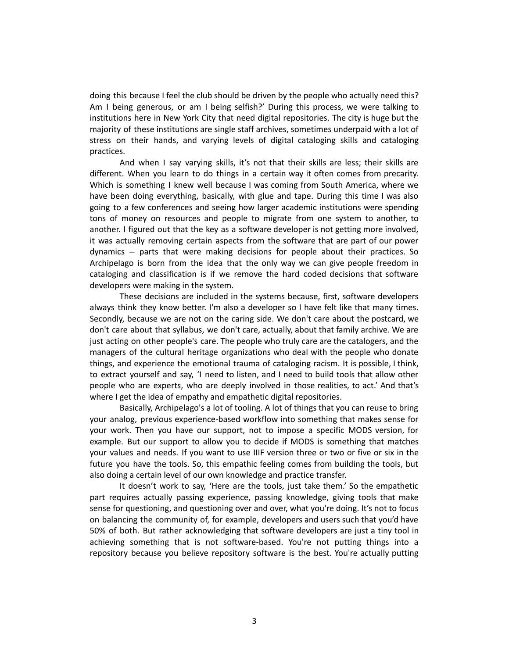doing this because I feel the club should be driven by the people who actually need this? Am I being generous, or am I being selfish?' During this process, we were talking to institutions here in New York City that need digital repositories. The city is huge but the majority of these institutions are single staff archives, sometimes underpaid with a lot of stress on their hands, and varying levels of digital cataloging skills and cataloging practices.

And when I say varying skills, it's not that their skills are less; their skills are different. When you learn to do things in a certain way it often comes from precarity. Which is something I knew well because I was coming from South America, where we have been doing everything, basically, with glue and tape. During this time I was also going to a few conferences and seeing how larger academic institutions were spending tons of money on resources and people to migrate from one system to another, to another. I figured out that the key as a software developer is not getting more involved, it was actually removing certain aspects from the software that are part of our power dynamics -- parts that were making decisions for people about their practices. So Archipelago is born from the idea that the only way we can give people freedom in cataloging and classification is if we remove the hard coded decisions that software developers were making in the system.

These decisions are included in the systems because, first, software developers always think they know better. I'm also a developer so I have felt like that many times. Secondly, because we are not on the caring side. We don't care about the postcard, we don't care about that syllabus, we don't care, actually, about that family archive. We are just acting on other people's care. The people who truly care are the catalogers, and the managers of the cultural heritage organizations who deal with the people who donate things, and experience the emotional trauma of cataloging racism. It is possible, I think, to extract yourself and say, 'I need to listen, and I need to build tools that allow other people who are experts, who are deeply involved in those realities, to act.' And that's where I get the idea of empathy and empathetic digital repositories.

Basically, Archipelago's a lot of tooling. A lot of things that you can reuse to bring your analog, previous experience-based workflow into something that makes sense for your work. Then you have our support, not to impose a specific MODS version, for example. But our support to allow you to decide if MODS is something that matches your values and needs. If you want to use IIIF version three or two or five or six in the future you have the tools. So, this empathic feeling comes from building the tools, but also doing a certain level of our own knowledge and practice transfer.

It doesn't work to say, 'Here are the tools, just take them.' So the empathetic part requires actually passing experience, passing knowledge, giving tools that make sense for questioning, and questioning over and over, what you're doing. It's not to focus on balancing the community of, for example, developers and users such that you'd have 50% of both. But rather acknowledging that software developers are just a tiny tool in achieving something that is not software-based. You're not putting things into a repository because you believe repository software is the best. You're actually putting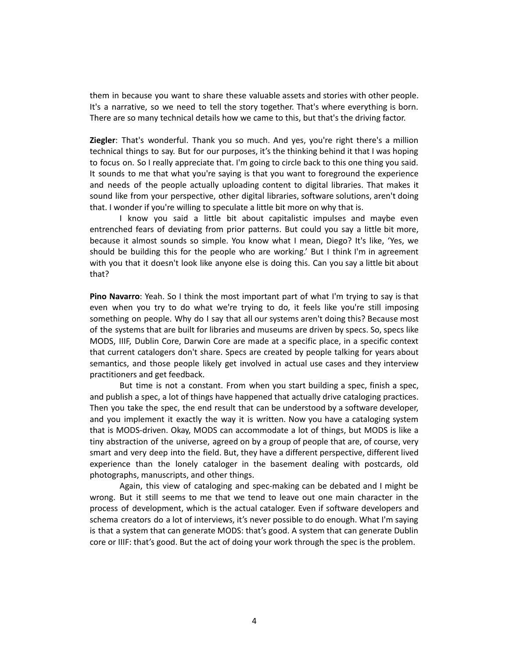them in because you want to share these valuable assets and stories with other people. It's a narrative, so we need to tell the story together. That's where everything is born. There are so many technical details how we came to this, but that's the driving factor.

**Ziegler**: That's wonderful. Thank you so much. And yes, you're right there's a million technical things to say. But for our purposes, it's the thinking behind it that I was hoping to focus on. So I really appreciate that. I'm going to circle back to this one thing you said. It sounds to me that what you're saying is that you want to foreground the experience and needs of the people actually uploading content to digital libraries. That makes it sound like from your perspective, other digital libraries, software solutions, aren't doing that. I wonder if you're willing to speculate a little bit more on why that is.

I know you said a little bit about capitalistic impulses and maybe even entrenched fears of deviating from prior patterns. But could you say a little bit more, because it almost sounds so simple. You know what I mean, Diego? It's like, 'Yes, we should be building this for the people who are working.' But I think I'm in agreement with you that it doesn't look like anyone else is doing this. Can you say a little bit about that?

**Pino Navarro**: Yeah. So I think the most important part of what I'm trying to say is that even when you try to do what we're trying to do, it feels like you're still imposing something on people. Why do I say that all our systems aren't doing this? Because most of the systems that are built for libraries and museums are driven by specs. So, specs like MODS, IIIF, Dublin Core, Darwin Core are made at a specific place, in a specific context that current catalogers don't share. Specs are created by people talking for years about semantics, and those people likely get involved in actual use cases and they interview practitioners and get feedback.

But time is not a constant. From when you start building a spec, finish a spec, and publish a spec, a lot of things have happened that actually drive cataloging practices. Then you take the spec, the end result that can be understood by a software developer, and you implement it exactly the way it is written. Now you have a cataloging system that is MODS-driven. Okay, MODS can accommodate a lot of things, but MODS is like a tiny abstraction of the universe, agreed on by a group of people that are, of course, very smart and very deep into the field. But, they have a different perspective, different lived experience than the lonely cataloger in the basement dealing with postcards, old photographs, manuscripts, and other things.

Again, this view of cataloging and spec-making can be debated and I might be wrong. But it still seems to me that we tend to leave out one main character in the process of development, which is the actual cataloger. Even if software developers and schema creators do a lot of interviews, it's never possible to do enough. What I'm saying is that a system that can generate MODS: that's good. A system that can generate Dublin core or IIIF: that's good. But the act of doing your work through the spec is the problem.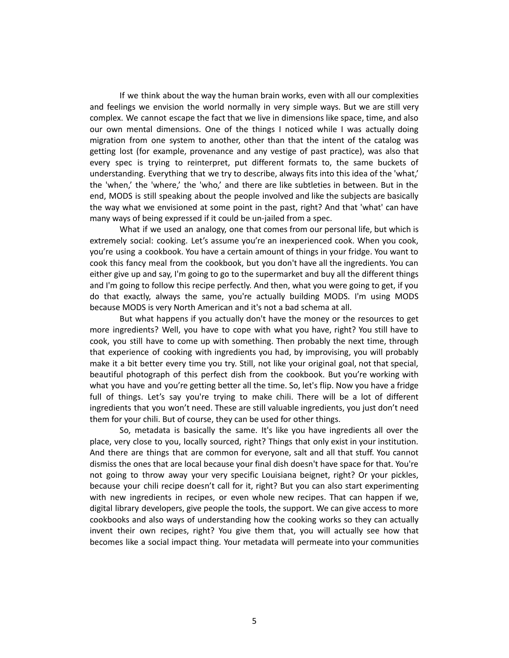If we think about the way the human brain works, even with all our complexities and feelings we envision the world normally in very simple ways. But we are still very complex. We cannot escape the fact that we live in dimensions like space, time, and also our own mental dimensions. One of the things I noticed while I was actually doing migration from one system to another, other than that the intent of the catalog was getting lost (for example, provenance and any vestige of past practice), was also that every spec is trying to reinterpret, put different formats to, the same buckets of understanding. Everything that we try to describe, always fits into this idea of the 'what,' the 'when,' the 'where,' the 'who,' and there are like subtleties in between. But in the end, MODS is still speaking about the people involved and like the subjects are basically the way what we envisioned at some point in the past, right? And that 'what' can have many ways of being expressed if it could be un-jailed from a spec.

What if we used an analogy, one that comes from our personal life, but which is extremely social: cooking. Let's assume you're an inexperienced cook. When you cook, you're using a cookbook. You have a certain amount of things in your fridge. You want to cook this fancy meal from the cookbook, but you don't have all the ingredients. You can either give up and say, I'm going to go to the supermarket and buy all the different things and I'm going to follow this recipe perfectly. And then, what you were going to get, if you do that exactly, always the same, you're actually building MODS. I'm using MODS because MODS is very North American and it's not a bad schema at all.

But what happens if you actually don't have the money or the resources to get more ingredients? Well, you have to cope with what you have, right? You still have to cook, you still have to come up with something. Then probably the next time, through that experience of cooking with ingredients you had, by improvising, you will probably make it a bit better every time you try. Still, not like your original goal, not that special, beautiful photograph of this perfect dish from the cookbook. But you're working with what you have and you're getting better all the time. So, let's flip. Now you have a fridge full of things. Let's say you're trying to make chili. There will be a lot of different ingredients that you won't need. These are still valuable ingredients, you just don't need them for your chili. But of course, they can be used for other things.

So, metadata is basically the same. It's like you have ingredients all over the place, very close to you, locally sourced, right? Things that only exist in your institution. And there are things that are common for everyone, salt and all that stuff. You cannot dismiss the ones that are local because your final dish doesn't have space for that. You're not going to throw away your very specific Louisiana beignet, right? Or your pickles, because your chili recipe doesn't call for it, right? But you can also start experimenting with new ingredients in recipes, or even whole new recipes. That can happen if we, digital library developers, give people the tools, the support. We can give access to more cookbooks and also ways of understanding how the cooking works so they can actually invent their own recipes, right? You give them that, you will actually see how that becomes like a social impact thing. Your metadata will permeate into your communities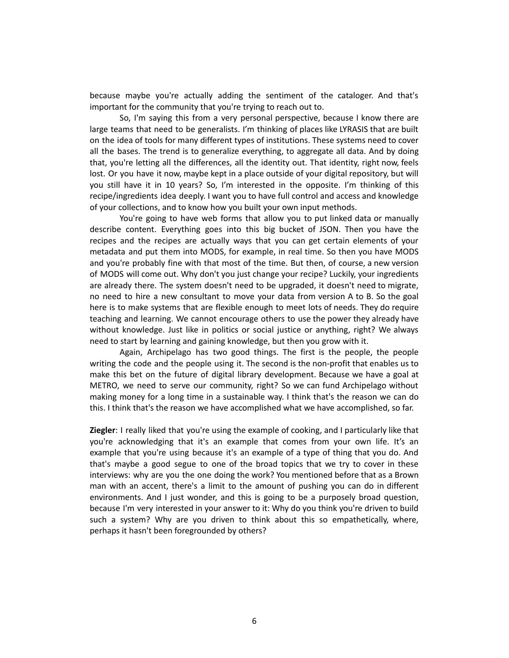because maybe you're actually adding the sentiment of the cataloger. And that's important for the community that you're trying to reach out to.

So, I'm saying this from a very personal perspective, because I know there are large teams that need to be generalists. I'm thinking of places like LYRASIS that are built on the idea of tools for many different types of institutions. These systems need to cover all the bases. The trend is to generalize everything, to aggregate all data. And by doing that, you're letting all the differences, all the identity out. That identity, right now, feels lost. Or you have it now, maybe kept in a place outside of your digital repository, but will you still have it in 10 years? So, I'm interested in the opposite. I'm thinking of this recipe/ingredients idea deeply. I want you to have full control and access and knowledge of your collections, and to know how you built your own input methods.

You're going to have web forms that allow you to put linked data or manually describe content. Everything goes into this big bucket of JSON. Then you have the recipes and the recipes are actually ways that you can get certain elements of your metadata and put them into MODS, for example, in real time. So then you have MODS and you're probably fine with that most of the time. But then, of course, a new version of MODS will come out. Why don't you just change your recipe? Luckily, your ingredients are already there. The system doesn't need to be upgraded, it doesn't need to migrate, no need to hire a new consultant to move your data from version A to B. So the goal here is to make systems that are flexible enough to meet lots of needs. They do require teaching and learning. We cannot encourage others to use the power they already have without knowledge. Just like in politics or social justice or anything, right? We always need to start by learning and gaining knowledge, but then you grow with it.

Again, Archipelago has two good things. The first is the people, the people writing the code and the people using it. The second is the non-profit that enables us to make this bet on the future of digital library development. Because we have a goal at METRO, we need to serve our community, right? So we can fund Archipelago without making money for a long time in a sustainable way. I think that's the reason we can do this. I think that's the reason we have accomplished what we have accomplished, so far.

**Ziegler**: I really liked that you're using the example of cooking, and I particularly like that you're acknowledging that it's an example that comes from your own life. It's an example that you're using because it's an example of a type of thing that you do. And that's maybe a good segue to one of the broad topics that we try to cover in these interviews: why are you the one doing the work? You mentioned before that as a Brown man with an accent, there's a limit to the amount of pushing you can do in different environments. And I just wonder, and this is going to be a purposely broad question, because I'm very interested in your answer to it: Why do you think you're driven to build such a system? Why are you driven to think about this so empathetically, where, perhaps it hasn't been foregrounded by others?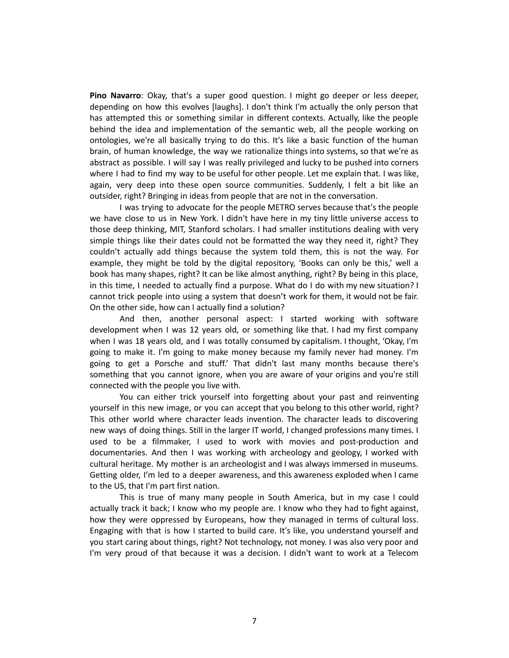**Pino Navarro**: Okay, that's a super good question. I might go deeper or less deeper, depending on how this evolves [laughs]. I don't think I'm actually the only person that has attempted this or something similar in different contexts. Actually, like the people behind the idea and implementation of the semantic web, all the people working on ontologies, we're all basically trying to do this. It's like a basic function of the human brain, of human knowledge, the way we rationalize things into systems, so that we're as abstract as possible. I will say I was really privileged and lucky to be pushed into corners where I had to find my way to be useful for other people. Let me explain that. I was like, again, very deep into these open source communities. Suddenly, I felt a bit like an outsider, right? Bringing in ideas from people that are not in the conversation.

I was trying to advocate for the people METRO serves because that's the people we have close to us in New York. I didn't have here in my tiny little universe access to those deep thinking, MIT, Stanford scholars. I had smaller institutions dealing with very simple things like their dates could not be formatted the way they need it, right? They couldn't actually add things because the system told them, this is not the way. For example, they might be told by the digital repository, 'Books can only be this,' well a book has many shapes, right? It can be like almost anything, right? By being in this place, in this time, I needed to actually find a purpose. What do I do with my new situation? I cannot trick people into using a system that doesn't work for them, it would not be fair. On the other side, how can I actually find a solution?

And then, another personal aspect: I started working with software development when I was 12 years old, or something like that. I had my first company when I was 18 years old, and I was totally consumed by capitalism. I thought, 'Okay, I'm going to make it. I'm going to make money because my family never had money. I'm going to get a Porsche and stuff.' That didn't last many months because there's something that you cannot ignore, when you are aware of your origins and you're still connected with the people you live with.

You can either trick yourself into forgetting about your past and reinventing yourself in this new image, or you can accept that you belong to this other world, right? This other world where character leads invention. The character leads to discovering new ways of doing things. Still in the larger IT world, I changed professions many times. I used to be a filmmaker, I used to work with movies and post-production and documentaries. And then I was working with archeology and geology, I worked with cultural heritage. My mother is an archeologist and I was always immersed in museums. Getting older, I'm led to a deeper awareness, and this awareness exploded when I came to the US, that I'm part first nation.

This is true of many many people in South America, but in my case I could actually track it back; I know who my people are. I know who they had to fight against, how they were oppressed by Europeans, how they managed in terms of cultural loss. Engaging with that is how I started to build care. It's like, you understand yourself and you start caring about things, right? Not technology, not money. I was also very poor and I'm very proud of that because it was a decision. I didn't want to work at a Telecom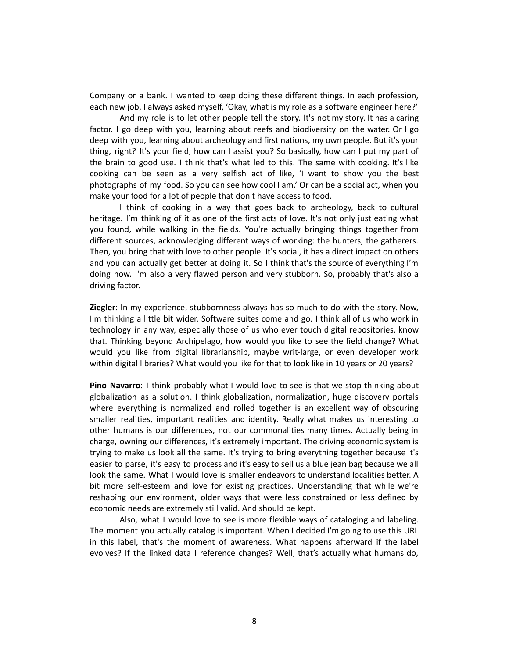Company or a bank. I wanted to keep doing these different things. In each profession, each new job, I always asked myself, 'Okay, what is my role as a software engineer here?'

And my role is to let other people tell the story. It's not my story. It has a caring factor. I go deep with you, learning about reefs and biodiversity on the water. Or I go deep with you, learning about archeology and first nations, my own people. But it's your thing, right? It's your field, how can I assist you? So basically, how can I put my part of the brain to good use. I think that's what led to this. The same with cooking. It's like cooking can be seen as a very selfish act of like, 'I want to show you the best photographs of my food. So you can see how cool I am.' Or can be a social act, when you make your food for a lot of people that don't have access to food.

I think of cooking in a way that goes back to archeology, back to cultural heritage. I'm thinking of it as one of the first acts of love. It's not only just eating what you found, while walking in the fields. You're actually bringing things together from different sources, acknowledging different ways of working: the hunters, the gatherers. Then, you bring that with love to other people. It's social, it has a direct impact on others and you can actually get better at doing it. So I think that's the source of everything I'm doing now. I'm also a very flawed person and very stubborn. So, probably that's also a driving factor.

**Ziegler**: In my experience, stubbornness always has so much to do with the story. Now, I'm thinking a little bit wider. Software suites come and go. I think all of us who work in technology in any way, especially those of us who ever touch digital repositories, know that. Thinking beyond Archipelago, how would you like to see the field change? What would you like from digital librarianship, maybe writ-large, or even developer work within digital libraries? What would you like for that to look like in 10 years or 20 years?

**Pino Navarro**: I think probably what I would love to see is that we stop thinking about globalization as a solution. I think globalization, normalization, huge discovery portals where everything is normalized and rolled together is an excellent way of obscuring smaller realities, important realities and identity. Really what makes us interesting to other humans is our differences, not our commonalities many times. Actually being in charge, owning our differences, it's extremely important. The driving economic system is trying to make us look all the same. It's trying to bring everything together because it's easier to parse, it's easy to process and it's easy to sell us a blue jean bag because we all look the same. What I would love is smaller endeavors to understand localities better. A bit more self-esteem and love for existing practices. Understanding that while we're reshaping our environment, older ways that were less constrained or less defined by economic needs are extremely still valid. And should be kept.

Also, what I would love to see is more flexible ways of cataloging and labeling. The moment you actually catalog is important. When I decided I'm going to use this URL in this label, that's the moment of awareness. What happens afterward if the label evolves? If the linked data I reference changes? Well, that's actually what humans do,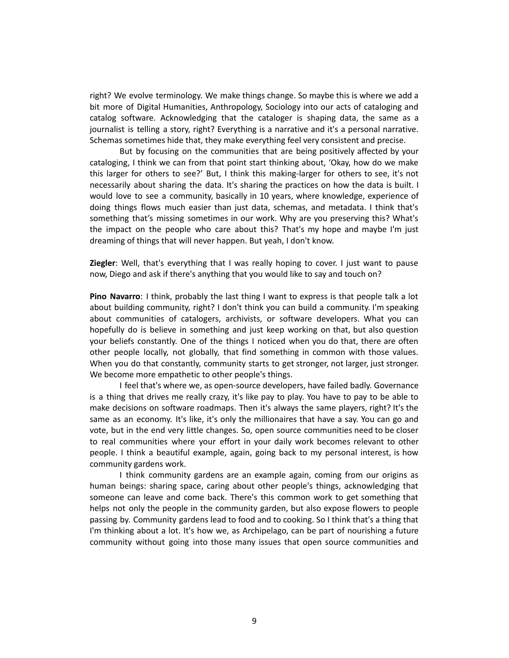right? We evolve terminology. We make things change. So maybe this is where we add a bit more of Digital Humanities, Anthropology, Sociology into our acts of cataloging and catalog software. Acknowledging that the cataloger is shaping data, the same as a journalist is telling a story, right? Everything is a narrative and it's a personal narrative. Schemas sometimes hide that, they make everything feel very consistent and precise.

But by focusing on the communities that are being positively affected by your cataloging, I think we can from that point start thinking about, 'Okay, how do we make this larger for others to see?' But, I think this making-larger for others to see, it's not necessarily about sharing the data. It's sharing the practices on how the data is built. I would love to see a community, basically in 10 years, where knowledge, experience of doing things flows much easier than just data, schemas, and metadata. I think that's something that's missing sometimes in our work. Why are you preserving this? What's the impact on the people who care about this? That's my hope and maybe I'm just dreaming of things that will never happen. But yeah, I don't know.

**Ziegler**: Well, that's everything that I was really hoping to cover. I just want to pause now, Diego and ask if there's anything that you would like to say and touch on?

**Pino Navarro**: I think, probably the last thing I want to express is that people talk a lot about building community, right? I don't think you can build a community. I'm speaking about communities of catalogers, archivists, or software developers. What you can hopefully do is believe in something and just keep working on that, but also question your beliefs constantly. One of the things I noticed when you do that, there are often other people locally, not globally, that find something in common with those values. When you do that constantly, community starts to get stronger, not larger, just stronger. We become more empathetic to other people's things.

I feel that's where we, as open-source developers, have failed badly. Governance is a thing that drives me really crazy, it's like pay to play. You have to pay to be able to make decisions on software roadmaps. Then it's always the same players, right? It's the same as an economy. It's like, it's only the millionaires that have a say. You can go and vote, but in the end very little changes. So, open source communities need to be closer to real communities where your effort in your daily work becomes relevant to other people. I think a beautiful example, again, going back to my personal interest, is how community gardens work.

I think community gardens are an example again, coming from our origins as human beings: sharing space, caring about other people's things, acknowledging that someone can leave and come back. There's this common work to get something that helps not only the people in the community garden, but also expose flowers to people passing by. Community gardens lead to food and to cooking. So I think that's a thing that I'm thinking about a lot. It's how we, as Archipelago, can be part of nourishing a future community without going into those many issues that open source communities and